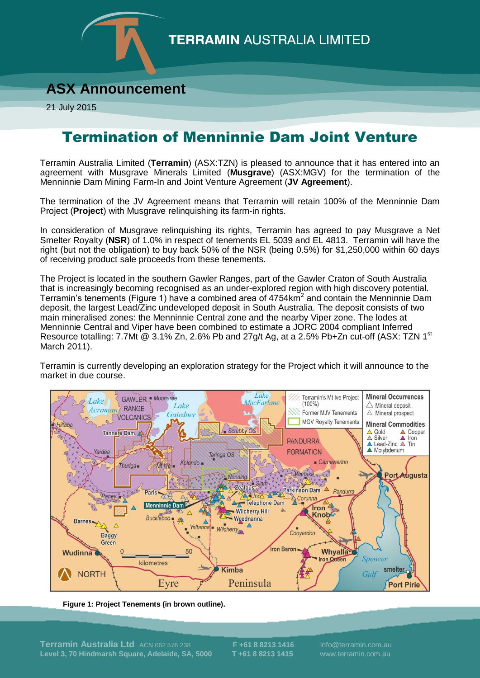

## **TERRAMIN AUSTRALIA LIMITED**

## **ASX Announcement**

21 July 2015

## Termination of Menninnie Dam Joint Venture

Terramin Australia Limited (**Terramin**) (ASX:TZN) is pleased to announce that it has entered into an agreement with Musgrave Minerals Limited (**Musgrave**) (ASX:MGV) for the termination of the Menninnie Dam Mining Farm-In and Joint Venture Agreement (**JV Agreement**).

The termination of the JV Agreement means that Terramin will retain 100% of the Menninnie Dam Project (**Project**) with Musgrave relinquishing its farm-in rights.

In consideration of Musgrave relinquishing its rights, Terramin has agreed to pay Musgrave a Net Smelter Royalty (**NSR**) of 1.0% in respect of tenements EL 5039 and EL 4813. Terramin will have the right (but not the obligation) to buy back 50% of the NSR (being 0.5%) for \$1,250,000 within 60 days of receiving product sale proceeds from these tenements.

The Project is located in the southern Gawler Ranges, part of the Gawler Craton of South Australia that is increasingly becoming recognised as an under-explored region with high discovery potential. Terramin's tenements (Figure 1) have a combined area of 4754 $km^2$  and contain the Menninnie Dam deposit, the largest Lead/Zinc undeveloped deposit in South Australia. The deposit consists of two main mineralised zones: the Menninnie Central zone and the nearby Viper zone. The lodes at Menninnie Central and Viper have been combined to estimate a JORC 2004 compliant Inferred Resource totalling: 7.7Mt @ 3.1% Zn, 2.6% Pb and 27g/t Ag, at a 2.5% Pb+Zn cut-off (ASX: TZN 1<sup>st</sup> March 2011).

Terramin is currently developing an exploration strategy for the Project which it will announce to the market in due course.



**Figure 1: Project Tenements (in brown outline).**

**Terramin Australia Ltd** ACN 062 576 238 **F +61 8 8213 1416** info@terramin.com.au **Level 3, 70 Hindmarsh Square, Adelaide, SA, 5000 T +61 8 8213 1415** www.terramin.com.au